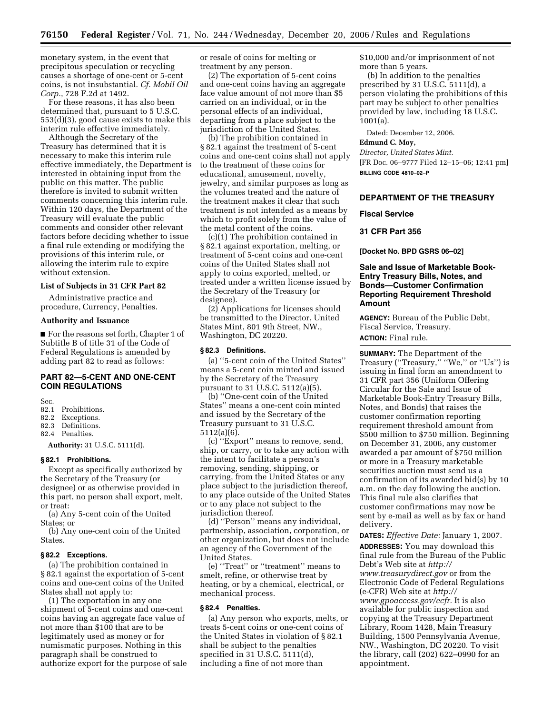monetary system, in the event that precipitous speculation or recycling causes a shortage of one-cent or 5-cent coins, is not insubstantial. *Cf. Mobil Oil Corp.*, 728 F.2d at 1492.

For these reasons, it has also been determined that, pursuant to 5 U.S.C. 553(d)(3), good cause exists to make this interim rule effective immediately.

Although the Secretary of the Treasury has determined that it is necessary to make this interim rule effective immediately, the Department is interested in obtaining input from the public on this matter. The public therefore is invited to submit written comments concerning this interim rule. Within 120 days, the Department of the Treasury will evaluate the public comments and consider other relevant factors before deciding whether to issue a final rule extending or modifying the provisions of this interim rule, or allowing the interim rule to expire without extension.

### **List of Subjects in 31 CFR Part 82**

Administrative practice and procedure, Currency, Penalties.

#### **Authority and Issuance**

■ For the reasons set forth, Chapter 1 of Subtitle B of title 31 of the Code of Federal Regulations is amended by adding part 82 to read as follows:

## **PART 82—5-CENT AND ONE-CENT COIN REGULATIONS**

Sec.

82.1 Prohibitions.

- 82.2 Exceptions.
- 82.3 Definitions.
- 82.4 Penalties.

**Authority:** 31 U.S.C. 5111(d).

#### **§ 82.1 Prohibitions.**

Except as specifically authorized by the Secretary of the Treasury (or designee) or as otherwise provided in this part, no person shall export, melt, or treat:

(a) Any 5-cent coin of the United States; or

(b) Any one-cent coin of the United States.

#### **§ 82.2 Exceptions.**

(a) The prohibition contained in § 82.1 against the exportation of 5-cent coins and one-cent coins of the United States shall not apply to:

(1) The exportation in any one shipment of 5-cent coins and one-cent coins having an aggregate face value of not more than \$100 that are to be legitimately used as money or for numismatic purposes. Nothing in this paragraph shall be construed to authorize export for the purpose of sale or resale of coins for melting or treatment by any person.

(2) The exportation of 5-cent coins and one-cent coins having an aggregate face value amount of not more than \$5 carried on an individual, or in the personal effects of an individual, departing from a place subject to the jurisdiction of the United States.

(b) The prohibition contained in § 82.1 against the treatment of 5-cent coins and one-cent coins shall not apply to the treatment of these coins for educational, amusement, novelty, jewelry, and similar purposes as long as the volumes treated and the nature of the treatment makes it clear that such treatment is not intended as a means by which to profit solely from the value of the metal content of the coins.

(c)(1) The prohibition contained in § 82.1 against exportation, melting, or treatment of 5-cent coins and one-cent coins of the United States shall not apply to coins exported, melted, or treated under a written license issued by the Secretary of the Treasury (or designee).

(2) Applications for licenses should be transmitted to the Director, United States Mint, 801 9th Street, NW., Washington, DC 20220.

#### **§ 82.3 Definitions.**

(a) ''5-cent coin of the United States'' means a 5-cent coin minted and issued by the Secretary of the Treasury pursuant to 31 U.S.C. 5112(a)(5).

(b) ''One-cent coin of the United States'' means a one-cent coin minted and issued by the Secretary of the Treasury pursuant to 31 U.S.C. 5112(a)(6).

(c) ''Export'' means to remove, send, ship, or carry, or to take any action with the intent to facilitate a person's removing, sending, shipping, or carrying, from the United States or any place subject to the jurisdiction thereof, to any place outside of the United States or to any place not subject to the jurisdiction thereof.

(d) ''Person'' means any individual, partnership, association, corporation, or other organization, but does not include an agency of the Government of the United States.

(e) ''Treat'' or ''treatment'' means to smelt, refine, or otherwise treat by heating, or by a chemical, electrical, or mechanical process.

### **§ 82.4 Penalties.**

(a) Any person who exports, melts, or treats 5-cent coins or one-cent coins of the United States in violation of § 82.1 shall be subject to the penalties specified in 31 U.S.C. 5111(d), including a fine of not more than

\$10,000 and/or imprisonment of not more than 5 years.

(b) In addition to the penalties prescribed by 31 U.S.C. 5111(d), a person violating the prohibitions of this part may be subject to other penalties provided by law, including 18 U.S.C. 1001(a).

Dated: December 12, 2006.

#### **Edmund C. Moy,**

*Director, United States Mint.*  [FR Doc. 06–9777 Filed 12–15–06; 12:41 pm] **BILLING CODE 4810–02–P** 

## **DEPARTMENT OF THE TREASURY**

#### **Fiscal Service**

### **31 CFR Part 356**

**[Docket No. BPD GSRS 06–02]** 

### **Sale and Issue of Marketable Book-Entry Treasury Bills, Notes, and Bonds—Customer Confirmation Reporting Requirement Threshold Amount**

**AGENCY:** Bureau of the Public Debt, Fiscal Service, Treasury. **ACTION:** Final rule.

**SUMMARY:** The Department of the Treasury ("Treasury," "We," or "Us") is issuing in final form an amendment to 31 CFR part 356 (Uniform Offering Circular for the Sale and Issue of Marketable Book-Entry Treasury Bills, Notes, and Bonds) that raises the customer confirmation reporting requirement threshold amount from \$500 million to \$750 million. Beginning on December 31, 2006, any customer awarded a par amount of \$750 million or more in a Treasury marketable securities auction must send us a confirmation of its awarded bid(s) by 10 a.m. on the day following the auction. This final rule also clarifies that customer confirmations may now be sent by e-mail as well as by fax or hand delivery.

**DATES:** *Effective Date:* January 1, 2007. **ADDRESSES:** You may download this final rule from the Bureau of the Public Debt's Web site at *[http://](http://www.treasurydirect.gov)  [www.treasurydirect.gov](http://www.treasurydirect.gov)* or from the Electronic Code of Federal Regulations (e-CFR) Web site at *[http://](http://www.gpoaccess.gov/ecfr)  [www.gpoaccess.gov/ecfr.](http://www.gpoaccess.gov/ecfr)* It is also available for public inspection and copying at the Treasury Department Library, Room 1428, Main Treasury Building, 1500 Pennsylvania Avenue, NW., Washington, DC 20220. To visit the library, call (202) 622–0990 for an appointment.